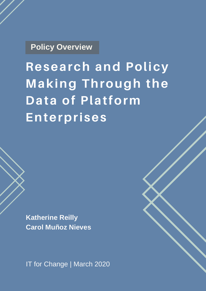**Policy Overview**

**Research and Policy Making Through the Data of Platform Enterprises**

**Katherine Reilly Carol Muñoz Nieves**

IT for Change | March 2020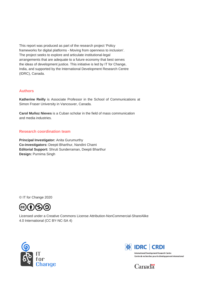This report was produced as part of the research project 'Policy frameworks for digital platforms - Moving from openness to inclusion'. The project seeks to explore and articulate institutional-legal arrangements that are adequate to a future economy that best serves the ideas of development justice. This initiative is led by IT for Change, India, and supported by the International Development Research Centre (IDRC), Canada.

#### **Authors**

**Katherine Reilly** is Associate Professor in the School of Communications at Simon Fraser University in Vancouver, Canada.

**Carol Muñoz Nieves** is a Cuban scholar in the field of mass communication and media industries.

#### **Research coordination team**

**Principal Investigator:** Anita Gurumurthy **Co-investigators:** Deepti Bharthur, Nandini Chami **Editorial Support:** Shruti Sunderraman, Deepti Bharthur **Design:** Purnima Singh

© IT for Change 2020



Licensed under a Creative Commons License Attribution-NonCommercial-ShareAlike 4.0 International (CC BY-NC-SA 4)





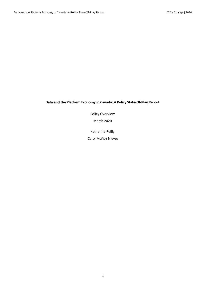#### **Data and the Platform Economy in Canada: A Policy State-Of-Play Report**

Policy Overview

March 2020

Katherine Reilly

Carol Muñoz Nieves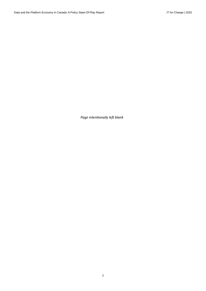*Page intentionally left blank*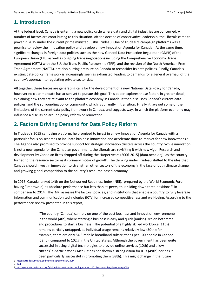## **1. Introduction**

At the federal level, Canada is entering a new policy cycle where data and digital industries are concerned. A number of factors are contributing to this situation. After a decade of conservative leadership, the Liberals came to power in 2015 under the current prime minister, Justin Trudeau. One of Trudeau's campaign platforms was a promise to review the innovation policy and develop a new Innovation Agenda for Canada.<sup>[1](#page-4-0)</sup> At the same time, significant changes in foreign data policies such as the new General Data Protection Regulation (GDPR) of the European Union (EU), as well as ongoing trade negotiations including the Comprehensive Economic Trade Agreement (CETA) with the EU, the Trans-Pacific Partnership (TPP), and the revision of the North American Free Trade Agreement (NAFTA), are also putting pressure on Canada to reconsider its data policies. Finally, Canada's existing data-policy framework is increasingly seen as exhausted, leading to demands for a general overhaul of the country's approach to regulating private sector data.

All together, these forces are generating calls for the development of a new National Data Policy for Canada, however no clear mandate has arisen yet to pursue this goal. This paper explores these factors in greater detail, explaining how they are relevant to the platform economy in Canada. It then discusses Canada's current data policies, and the surrounding policy community, which is currently in transition. Finally, it lays out some of the limitations of the current data-policy framework in Canada, and suggests ways in which the platform economy may influence a discussion around policy reform or renovation.

## **2. Factors Driving Demand for Data Policy Reform**

In Trudeau's 2015 campaign platform, he promised to invest in a new Innovation Agenda for Canada with a particular focus on schemes to incubate business innovation and accelerate time-to-market for new innovations.<sup>[2](#page-4-1)</sup> The Agenda also promised to provide support for strategic innovation clusters across the country. While innovation is not a new agenda for the Canadian government, the Liberals are revisiting it with new vigor. Research and development by Canadian firms dropped off during the Harper years (2006-2015) (data.oecd.org), as the country turned to the resource sector as its primary motor of growth. The thinking under Trudeau shifted to the idea that Canada should invest in innovation to strengthen other sectors of the economy in the face of both climate change and growing global competition to the country's resource-based economy.

In 2016, Canada ranked 14th on the Networked Readiness Index (NRI), prepared by the World Economic Forum, having "improve[d] its absolute performance but less than its peers, thus sliding down three positions<sup>[3](#page-4-2)</sup>" in comparison to 2014. The NRI assesses the factors, policies, and institutions that enable a country to fully leverage information and communication technologies (ICTs) for increased competitiveness and well-being. According to the performance review presented in this report,

> "The country [Canada] can rely on one of the best business and innovation environments in the world (4th), where starting a business is easy and quick (ranking 3rd on both time and procedures to start a business). The potential of a highly skilled workforce (11th) remains partially untapped, as individual usage remains relatively low (30th): for example, there are only 54.3 mobile broadband subscriptions per 100 people in Canada (52nd), compared to 102.7 in the United States. Although the government has been quite successful in using digital technologies to provide online services (10th) and allow citizens' e-participation (14th), it has not shown a strong vision for ICTs (49th) nor has it been particularly successful in promoting them (38th). This might change in the future

<span id="page-4-0"></span><sup>1</sup> <https://trudeaumetre.polimeter.org/promise/2309>

<span id="page-4-1"></span><sup>2</sup> [Ibid.](https://trudeaumetre.polimeter.org/promise/2309)

<span id="page-4-2"></span><sup>3</sup> <http://reports.weforum.org/global-information-technology-report-2016/economies/#economy=CAN>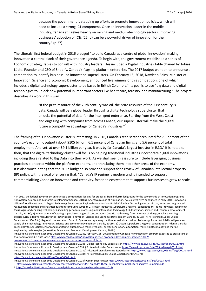because the government is stepping up efforts to promote innovation policies, which will need to include a strong ICT component. Once an innovation leader in the mobile industry, Canada still relies heavily on mining and medium-technology sectors. Improving businesses' adoption of ICTs (22nd) can be a powerful driver of innovation for the country." (p.27)

The Liberals' first federal budget in 2016 pledged "to build Canada as a centre of global innovation" making innovation a central plank of their governance agenda. To begin with, the government established a series of Economic Strategy Tables to consult with industry leaders. This included a Digital Industries Table chaired by Tobias Lütke, Founder and CEO of Shopify, Canada's flagship platform enterprise. The 2017 budget went on to announce a competition to identify business-led innovation superclusters. On February 15, 2018, Navdeep Bains, Minister of Innovation, Science and Economic Development, announced five winners of this competition, one of which includes a digital technology supercluster to be based in British Columbia.<sup>[4](#page-5-0)</sup> Its goal is to use "big data and digital technologies to unlock new potential in important sectors like healthcare, forestry, and manufacturing." The project describes its work in this way:

> "If the prize resource of the 20th century was oil, the prize resource of the 21st century is data. Canada will be a global leader through a digital technology supercluster that unlocks the potential of data for the intelligent enterprise. Starting from the West Coast and engaging with companies from across Canada, our supercluster will make the digital future a competitive advantage for Canada's industries."[5](#page-5-1)

The framing of this innovation cluster is interesting. In 2016, Canada's tech sector accounted for 7.1 percent of the country's economic output (about \$105 billion), 6.1 percent of Canadian firms, and 5.6 percent of total employment. And yet, at over \$9.1 billion per year, it was by far Canada's largest investor in R&D.<sup>[6](#page-5-2)</sup> It is notable, then, that the digital technology cluster will focus on helping traditional industries incorporate digital innovations, including those related to Big Data into their work. As we shall see, this is sure to include leveraging business practices pioneered within the platform economy, and translating them into other areas of the economy. It is also worth noting that the 2017 budget also provided support for a review of Canadian intellectual property (IP) policy, with the goal of ensuring that, "Canada's IP regime is modern and is intended to support commercializing Canadian innovation and creativity, foster an ecosystem that supports businesses to grow to scale,

<span id="page-5-0"></span><sup>4</sup> In 2017, the federal government announced a competition, looking for proposals from industry-led groups for the sponsorship of innovation programs (Innovation, Science and Economic Development Canada, 2018a). After two rounds of elimination, five clusters were announced in early 2018, up to \$950 billion of total investment: 1) Digital Technology Supercluster. Regional concentration: British Columbia. Technology focus: Virtual, mixed and augmented reality; data collection and analytics; quantum computing (2018b); 2) Protein Industries Supercluster. Regional concentration: Prairie Provinces. Technology focus: Agri-food enabling technologies, including genomics, processing, and information technology (IT) (Innovation, Science and Economic Development Canada, 2018c); 3) Advanced Manufacturing Supercluster. Regional concentration: Ontario. Technology focus: Internet of Things, machine learning, cybersecurity, additive manufacturing (3D printing) (Innovation, Science and Economic Development Canada, 2018d); 4) AI-Powered Supply Chains Supercluster (SCALE.AI). Regional concentration: Based in Quebec and spanning the Quebec-Windsor corridor. Technology focus: Artificial intelligence and supply chain technology (Innovation, Science and Economic Development Canada, 2018e); 5) Ocean Supercluster. Regional concentration: Atlantic Canada: Technology focus: Digital sensors and monitoring, autonomous marine vehicles, energy generation, automation, marine biotechnology and marine engineering technologies (Innovation, Science and Economic Development Canada, 2018f).

Innovation, Science and Economic Development Canada (2018a, February 15) "Government of Canada's new innovation program expected to create tens of thousands of middle-class jobs." [https://www.canada.ca/en/innovation-science-economic-development/news/2018/02/](https://www.canada.ca/en/innovation-science-economic-development/news/2018/02/government_of_canadasnewinnovationprogramexpectedtocreatetensoft.html) government\_of\_canadasnewinnovationprogramexpectedtocreatetensoft.html

Innovation, Science and Economic Development Canada (2018b) Digital Technology Supercluster.<https://www.ic.gc.ca/eic/site/093.nsf/eng/00011.html> Innovation, Science and Economic Development Canada (2018c) Protein Industries Supercluster.<https://www.ic.gc.ca/eic/site/093.nsf/eng/00012.html> Innovation, Science and Economic Development Canada (2018d) Advanced Manufacturing Supercluster.<https://www.ic.gc.ca/eic/site/093.nsf/eng/00010.html> Innovation, Science and Economic Development Canada (2018e) AI-Powered Supply Chains Supercluster (SCALE.AI). <https://www.ic.gc.ca/eic/site/093.nsf/eng/00009.html>

<span id="page-5-2"></span><span id="page-5-1"></span>Innovation, Science and Economic Development Canada (2018f) Ocean Supercluster<https://www.ic.gc.ca/eic/site/093.nsf/eng/00013.html> 5 <https://www.digitalsupercluster.ca/wp-content/uploads/2018/01/Canadas-Digital-Technology-Supercluster-Executive-Summary.pdf> 6 <http://brookfieldinstitute.ca/research-analysis/the-state-of-canadas-tech-sector-2016/>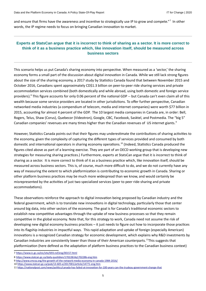and ensure that firms have the awareness and incentive to strategically use IP to grow and compete."<sup>[7](#page-6-0)</sup> In other words, the IP regime needs to focus on bringing Canadian innovation to market.

#### **Experts at StatsCan argue that it is incorrect to think of sharing as a sector. It is more correct to think of it as a business practice which, like innovation itself, should be measured across business sectors**

This scenario helps us put Canada's sharing economy into perspective. When measured as a 'sector,' the sharing economy forms a small part of the discussion about digital innovation in Canada. While we still lack strong figures about the size of the sharing economy, a 2017 study by Statistics Canada found that between November 2015 and October 2016, Canadians spent approximately CD\$1.3 billion on peer-to-peer ride sharing services and private accommodation services combined (both domestically and while abroad, using both domestic and foreign service providers).<sup>[8](#page-6-1)</sup> This figure accounts for only 0.06 percent of the national GDP -- but Canada can't even claim all of this wealth because some service providers are located in other jurisdictions. To offer further perspective, Canadian networked media industries (a compendium of telecom, media and internet companies) were worth \$77 billion in 2015, accounting for almost 4 percent of the GDP. The 10 largest media companies in Canada are, in order: Bell, Rogers, Telus, Shaw (Corus), Quebecor (Videotron), Google, CBC, Facebook, Sasktel, and Postmedia. The "big 5" Canadian companies' revenues are many times higher than the Canadian revenues of US internet giants.<sup>[9](#page-6-2)</sup>

However, Statistics Canada points out that their figures may underestimate the contributions of sharing activities to the economy, given the complexity of capturing the different types of services provided and consumed by both domestic and international operators in sharing economy operations.<sup>[10](#page-6-3)</sup> (Indeed, Statistics Canada produced the figures cited above as part of a learning exercise. They are part of an OECD working group that is developing new strategies for measuring sharing practices.) Furthermore, experts at StatsCan argue that it is incorrect to think of sharing as a sector. It is more correct to think of it as a business practice which, like innovation itself, should be measured across business sectors. This is, of course, much more difficult to do, and we do not currently have any way of measuring the extent to which platformization is contributing to economic growth in Canada. Sharing or other platform business practices may be much more widespread than we know, and would certainly be misrepresented by the activities of just two specialized services (peer to peer ride-sharing and private accommodations).

These observations reinforce the approach to digital innovation being proposed by Canadian industry and the federal government, which is to translate new innovations in digital technology, particularly those that center around big data, into other sectors of the economy. The goal is for Canada's traditional economic sectors to establish new competitive advantages through the uptake of new business processes so that they remain competitive in the global economy. Note that, for this strategy to work, Canada need not assume the risk of developing new digital economy business practices – it just needs to figure out how to incorporate those practices into its flagship industries in impactful ways. This rapid adaptation and uptake of foreign (especially American) innovations is a recognized Canadian strategy for economic development, which explains why R&D investments by Canadian industries are consistently lower than those of their American counterparts.<sup>[11](#page-6-4)</sup>This suggests that platformization (here defined as the adaptation of platform business practices to the Canadian business context)

<span id="page-6-0"></span><sup>7</sup> <https://www.ic.gc.ca/eic/site/693.nsf/eng/00157.html>

<span id="page-6-1"></span><sup>8</sup> <https://www.statcan.gc.ca/daily-quotidien/170228/dq170228b-eng.htm>

<span id="page-6-2"></span><sup>9</sup> <http://www.cmcrp.org/the-growth-of-the-network-media-economy-in-canada-1984-2016/>

<span id="page-6-3"></span><sup>10</sup> <https://www.statcan.gc.ca/pub/13-605-x/2017001/article/14771-eng.htm>

<span id="page-6-4"></span><sup>11</sup> <https://nationalpost.com/news/politics/canada-has-failed-at-innovation-for-100-years-can-the-trudeau-government-change-that>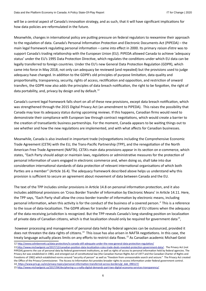will be a central aspect of Canada's innovation strategy, and as such, that it will have significant implications for how data policies are reformulated in the future.

Meanwhile, changes in international policy are putting pressure on federal regulators to reexamine their approach to the regulation of data. Canada's Personal Information Protection and Electronic Documents Act (PIPEDA) – the main legal framework regulating personal information – came into effect in 2000. Its primary *raison d'etre* was to support Canada's trading relationship with the European Union (EU). PIPEDA allowed Canada to achieve 'adequacy status' under the EU's 1995 Data Protection Directive, which regulates the conditions under which EU data can be legally transferred to foreign countries. Under the EU's new General Data Protection Regulation (GDPR), which came into force in May 2018, not only can adequacy be reviewed (and repealed) but the provisions used to judge adequacy have changed. In addition to the GDPR's old principles of purpose limitation, data quality and proportionality, transparency, security, rights of access, rectification and opposition, and restriction of onward transfers, the GDPR now also adds the principles of data breach notification, the right to be forgotten, the right of data portability, and, privacy by design and by default.<sup>[12](#page-7-0)</sup>

Canada's current legal framework falls short on all of these new provisions, except data breach notification, which was strengthened through the 2015 Digital Privacy Act (an amendment to PIPEDA). This raises the possibility that Canada may lose its adequacy status during upcoming reviews. If this happens, Canadian firms would need to demonstrate their compliance with European law through contract negotiations, which would create a barrier to the creation of transatlantic business partnerships. For the moment, Canada appears to be waiting things out to see whether and how the new regulations are implemented, and with what affects for Canadian businesses.

Meanwhile, Canada is also involved in important trade (re)negotiations including the Comprehensive Economic Trade Agreement (CETA) with the EU, the Trans-Pacific Partnership (TPP), and the renegotiation of the North American Free Trade Agreement (NAFTA). CETA's main data provisions appear in its section on e-commerce, which states, "Each Party should adopt or maintain laws, regulations or administrative measures for the protection of personal information of users engaged in electronic commerce and, when doing so, shall take into due consideration international standards of data protection of relevant international organisations of which both Parties are a member" (Article 16.4). The adequacy framework described above helps us understand why this provision is sufficient to secure an agreement about movement of data between Canada and the EU.

The text of the TPP includes similar provisions in Article 14.8 on personal information protection, and it also includes additional provisions on 'Cross Border Transfer of Information by Electronic Means' in Article 14.11. Here, the TPP says, "Each Party shall allow the cross-border transfer of information by electronic means, including personal information, when this activity is for the conduct of the business of a covered person." This is a reference to the issue of data-localization. The GDPR allows for transfer of the private data of EU citizens when the adequacy of the data-receiving jurisdiction is recognized. But the TPP reveals Canada's long-standing position on localization of private data of Canadian citizens, which is that localization should only be required for government data<sup>[13](#page-7-1)</sup>,

 however processing and management of personal data held by federal agencies can be outsourced, provided it does not threaten the data rights of citizens.<sup>[14](#page-7-2)</sup> This issue has also arisen in NAFTA negotiations. In this case, the treaty language actually places limits on any efforts to restrict data flows.<sup>[15](#page-7-3)</sup> As Canadian academic Michael Geist

<span id="page-7-0"></span><sup>12</sup> <http://www.colinbennett.ca/data-protection/is-canada-still-adequate-under-the-new-general-data-protection-regulation/>

<span id="page-7-1"></span><sup>13</sup> [http://www.michaelgeist.ca/2017/12/canadian-position-data-localization-rules-trade-deals-revealed-protection-government-data/.](http://www.michaelgeist.ca/2017/12/canadian-position-data-localization-rules-trade-deals-revealed-protection-government-data/) The Privacy Act (not PIPEDA) governs the use of personal data by federal government institutions, as well as rights of access to personal information held by federal agencies. The Privacy Act was established in 1983, and emerged out of constitutional law (the Canadian Human Rights Act of 1977 and the Canadian Charter of Rights and Freedoms of 1982) which established norms around "security of person" as well as "freedom from unreasonable search and seizure." The Privacy Act created the Office of the Privacy Commissioner. The Access to Information Act provides broader rights to access information under federal government control. 14 [https://www.priv.gc.ca/en/privacy-topics/personal-information-transferred-across-borders/gl\\_dab\\_090127/](https://www.priv.gc.ca/en/privacy-topics/personal-information-transferred-across-borders/gl_dab_090127/)

<span id="page-7-3"></span><span id="page-7-2"></span><sup>15</sup> <http://www.michaelgeist.ca/2017/04/deciphering-u-s-nafta-digital-demands-part-two-digital-economy-services-transparency/>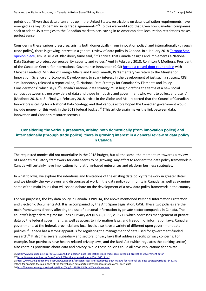points out, "Given that data often ends up in the United States, restrictions on data localization requirements have emerged as a key US demand in its trade agreements."<sup>[16](#page-8-0)</sup> To this we would add that given how Canadian companies seek to adapt US strategies to the Canadian marketplace, caving in to American data localization restrictions makes perfect sense.

Considering these various pressures, arising both domestically (from innovation policy) and internationally (through trade policy), there is growing interest in a general review of data policy in Canada. In a January 2018 Toronto Star [opinion piece,](https://www.thestar.com/opinion/contributors/2018/01/30/jim-balsillie-canada-needs-a-national-data-strategy.html) Jim Balsillie of Blackberry fame said, "It's critical that Canada designs and implements a National Data Strategy to protect our prosperity, security and values." And in February 2018, Rohinton P. Medhora, President of the Canadian Centre for International Governance Innovation (CIGI) [hosted a closed-door round table](https://www.cigionline.org/events/roundtable-discussion-data-governance-and-strategy) with Chrystia Freeland, Minister of Foreign Affairs and David Lametti, Parliamentary Secretary to the Minister of Innovation, Science and Economic Development to spark interest in the development of just such a strategy. CIGI simultaneously released a report called, "A National Data Strategy for Canada: Key Elements and Policy Considerations" which says, [17](#page-8-1)"Canada's national data strategy must begin drafting the terms of a new social contract between citizen providers of data and those in industry and government who want to collect and use it" (Medhora 2018, p. 8). Finally, a February 2018 article in the Globe and Mail reported that the Council of Canadian Innovators is calling for a National Data Strategy, and that various actors hoped the Canadian government would include money for this work in the 20[18](#page-8-2) federal budget.<sup>18</sup> (This article again makes the link between data, innovation and Canada's resource sectors.)

#### **Considering the various pressures, arising both domestically (from innovation policy) and internationally (through trade policy), there is growing interest in a general review of data policy in Canada**

The requested monies did not materialize in the 2018 budget, but all the same, the momentum towards a review of Canada's regulatory framework for data seems to be growing. Any effort to reorient the data policy framework in Canada will certainly have implications for platform-based enterprises and platform business strategies.

In what follows, we explore the intentions and limitations of the existing data policy framework in greater detail and we identify the key players and discourses at work in the data policy community in Canada, as well as examine some of the main issues that will shape debate on the development of a new data policy framework in the country.

For our purposes, the key data policy in Canada is PIPEDA, the above mentioned Personal Information Protection and Electronic Documents Act. It is accompanied by the Anti Spam Legislation, CASL. These two policies are the main frameworks directly affecting the use of personal information by private sector companies in Canada. The country's larger data regime includes a Privacy Act (R.S.C., 1985, c. P-21), which addresses management of private data by the federal government, as well as access to information laws, and freedom of information laws. Canadian governments at the federal, provincial and local levels also have a variety of different open government data policies.[19](#page-8-3) Canada has a strong apparatus for regulating the management of data used for government-funded research.<sup>[20](#page-8-4)</sup> It also has several subsidiary and sectoral privacy laws that address specific privacy concerns. For example, four provinces have health-related privacy laws, and the Bank Act (which regulates the banking sector) also contains provisions about data and privacy. While these policies could all have implications for private

<span id="page-8-3"></span><span id="page-8-2"></span>1[8 https://www.theglobeandmail.com/news/national/canadian-ceos-and-academics-push-ottawa-for-national-big-data-strategy/article37848737/](https://www.theglobeandmail.com/news/national/canadian-ceos-and-academics-push-ottawa-for-national-big-data-strategy/article37848737/) 19 See for example the main page of the federal open data portal: https://open.canada.ca/en/open-data

<span id="page-8-1"></span><span id="page-8-0"></span><sup>16</sup> <http://www.michaelgeist.ca/2017/12/canadian-position-data-localization-rules-trade-deals-revealed-protection-government-data/> 17 [https://www.cigionline.org/sites/default/files/documents/Paper%20no.160\\_3.pdf](https://www.cigionline.org/sites/default/files/documents/Paper%20no.160_3.pdf)

<span id="page-8-4"></span><sup>20</sup> [http://www.science.gc.ca/eic/site/063.nsf/eng/h\\_83F7624E.html?OpenDocument](http://www.science.gc.ca/eic/site/063.nsf/eng/h_83F7624E.html?OpenDocument)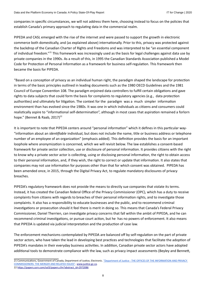companies in specific circumstances, we will not address them here, choosing instead to focus on the policies that establish Canada's primary approach to regulating data in the commercial realm.

PIPEDA and CASL emerged with the rise of the internet and were passed to support the growth in electronic commerce both domestically, and (as explained above) internationally. Prior to this, privacy was protected against the backdrop of the Canadian Charter of Rights and Freedoms and was interpreted to be "an essential component of individual freedom."<sup>[21](#page-9-0)</sup> This framework was increasingly used as the basis for legal challenges against data use by private companies in the 1990s. As a result of this, in 1995 the Canadian Standards Association published a Model Code for Protection of Personal Information as a framework for business self-regulation. This framework then became the basis for PIPEDA.

"Based on a conception of privacy as an individual human right, the paradigm shaped the landscape for protection in terms of the basic principles outlined in leading documents such as the 1980 OECD Guidelines and the 1981 Council of Europe Convention 108. The paradigm enjoined data controllers to fulfill certain obligations and gave rights to data subjects that could form the basis for complaints to regulatory agencies (e.g., data protection authorities) and ultimately for litigation. The context for the paradigm was a much simpler information environment than has evolved since the 1980s. It was one in which individuals as citizens and consumers could realistically aspire to "informational self-determination", although in most cases that aspiration remained a forlorn hope." (Bennet & Raab,  $2017$ )<sup>[22](#page-9-1)</sup>

It is important to note that PIPEDA centers around "personal information" which it defines in this particular way- "information about an *identifiable* individual, but does not include the name, title or business address or telephone number of an employee of an organization" (emphasis added). This definition provides the basis for an important loophole where anonymization is concerned, which we will revisit below. The law establishes a consent-based framework for private sector collection, use or disclosure of personal information. It provides citizens with the right to know why a private sector actor is collecting, using or disclosing personal information, the right to obtain access to their personal information, and, if they wish, the right to correct or update that information. It also states that companies may not use information for purposes other than that for which consent was obtained. PIPEDA has been amended once, in 2015, through the Digital Privacy Act, to regulate mandatory disclosures of privacy breaches.

PIPEDA's regulatory framework does not provide the means to directly sue companies that violate its terms. Instead, it has created the Canadian federal Office of the Privacy Commissioner (OPC), which has a duty to receive complaints from citizens with regards to breaches of their personal information rights, and to investigate those complaints. It also has a responsibility to educate businesses and the public, and to recommend criminal investigations or prosecution should it feel there is merit in doing so. This means that Canada's Federal Privacy Commissioner, Daniel Therrien, can investigate privacy concerns that fall within the ambit of PIPEDA, and he can recommend criminal investigations, or pursue court action, but he has no powers of enforcement. It also means that PIPEDA is updated via judicial interpretation and the production of case law.

The enforcement mechanisms contemplated by PIPEDA are balanced off by self-regulation on the part of private sector actors, who have taken the lead in developing best practices and technologies that facilitate the adoption of PIPEDA's mandates in their everyday business activities. In addition, Canadian private sector actors have adopted additional tools to demonstrate compliance with the law, such as privacy impact assessments (Beyley and Bennett,

<span id="page-9-0"></span><sup>21</sup> Communications, Government of Canada, Department of Justice, Electronic. "Department of Justice - THE OFFICES OF THE INFORMATION AND PRIVACY [COMMISSIONERS: THE MERGER AND RELATED ISSUES".](http://www.justice.gc.ca/eng/rp-pr/csj-sjc/atip-aiprp/ip/p2.html?wbdisable=true) [www.justice.gc.ca.](http://www.justice.gc.ca/)

<span id="page-9-1"></span><sup>22</sup> [https://papers.ssrn.com/sol3/papers.cfm?abstract\\_id=2972086](https://papers.ssrn.com/sol3/papers.cfm?abstract_id=2972086)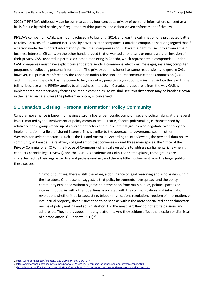2012).<sup>[23](#page-10-0)</sup> PIPEDA's philosophy can be summarized by four concepts: privacy of personal information, consent as a basis for use by third parties, self-regulation by third parties, and citizen-driven enforcement of the law.

PIPEDA's companion, CASL, was not introduced into law until 2014, and was the culmination of a protracted battle to relieve citizens of unwanted intrusions by private sector companies. Canadian companies had long argued that if a person made their contact information public, then companies should have the right to use it to advance their business interests. Citizens, on the other hand, argued that unwanted phone calls or emails were an invasion of their privacy. CASL ushered in permission-based marketing in Canada, which represented a compromise. Under CASL, companies must have explicit consent before sending commercial electronic messages, installing computer programs, or collecting personal information. The privacy commissioner has some responsibility to govern CASL, however, it is primarily enforced by the Canadian Radio-television and Telecommunications Commission (CRTC), and in this case, the CRTC has the power to levy monetary penalties against companies that violate the law. This is telling, because while PIPEDA applies to all business interests in Canada, it is apparent from the way CASL is implemented that it primarily focuses on media companies. As we shall see, this distinction may be breaking down in the Canadian case where the platform economy is concerned.

### **2.1 Canada's Existing "Personal Information" Policy Community**

Canadian governance is known for having a strong liberal democratic compromise, and policymaking at the federal level is marked by the involvement of policy communities.<sup>[24](#page-10-1)</sup> That is, federal policymaking is characterized by relatively stable groups made up of government actors and public interest groups who negotiate over policy and implementation in a field of shared interest. This is similar to the approach to governance seen in other Westminster style democracies such as the UK and Australia. According to interviewees, the personal data policy community in Canada is a relatively collegial ambit that convenes around three main spaces: the Office of the Privacy Commissioner (OPC), the House of Commons (which calls on actors to address parliamentarians when it conducts periodic legal reviews), and the CRTC. As academician Colin J Bennett explains, these groups are characterized by their legal expertise and professionalism, and there is little involvement from the larger publics in these spaces:

> "In most countries, there is still, therefore, a dominance of legal reasoning and scholarship within the literature. One reason, I suggest, is that policy instruments have spread, and the policy community expanded without significant intervention from mass publics, political parties or interest groups. As with other questions associated with the communications and information revolution, whether it be broadcasting, telecommunications regulation, freedom of information, or intellectual property, these issues tend to be seen as within the more specialized and technocratic realms of policy making and administration. For the most part they do not excite passions and adherence. They rarely appear in party platforms. And they seldom affect the election or dismissal of elected officials" (Bennett, 2011).*[25](#page-10-2)*

<span id="page-10-0"></span><sup>2</sup>[3 https://link.springer.com/chapter/10.1007/978-94-007-2543-0\\_7](https://link.springer.com/chapter/10.1007/978-94-007-2543-0_7)

<span id="page-10-2"></span><span id="page-10-1"></span><sup>2</sup>[4https://www.canada.ca/en/privy-council/news/2017/03/clerk\\_s\\_remarks\\_atthepolicycommunityconference.html](https://www.canada.ca/en/privy-council/news/2017/03/clerk_s_remarks_atthepolicycommunityconference.html) 25 <https://www-tandfonline-com.proxy.lib.sfu.ca/doi/full/10.1080/13876988.2011.555996?scroll=top&needAccess=true>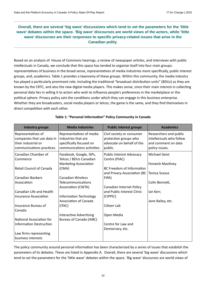#### **Overall, there are several 'big wave' discussions which tend to set the parameters for the 'little wave' debates within the space. 'Big wave' discourses are world views of the actors, while 'little wave' discourses are their responses to specific privacy-related issues that arise in the Canadian polity.**

Based on an analysis of House of Commons hearings, a review of newspaper articles, and interviews with public intellectuals in Canada, we conclude that this space has tended to organize itself into four main groups: representatives of business in the broad sense, representatives of media industries more specifically, public interest groups, and, academics. Table 1 provides a taxonomy of these groups. Within this community, the media industry has played a particularly prominent role, including the traditional "broadcast distribution units" (BDUs) as they are known by the CRTC, and also the new digital media players. This makes sense, since their main interest in collecting personal data lies in selling it to actors who wish to influence people's preferences in the marketplace or the political sphere. Privacy policy sets the conditions under which they can engage in this business enterprise. Whether they are broadcasters, social media players or telcos, the game is the same, and they find themselves in direct competition with each other.

| <b>Industry groups</b>                                                                               | <b>Media industries</b>                                                                                  | <b>Public interest groups</b>                                                              | <b>Academics</b>                                                                            |
|------------------------------------------------------------------------------------------------------|----------------------------------------------------------------------------------------------------------|--------------------------------------------------------------------------------------------|---------------------------------------------------------------------------------------------|
| Representatives of<br>companies that use data in<br>their industrial or<br>communications practices. | Representatives of media<br>industries that are<br>specifically focused on<br>communications activities. | Civil society or consumer<br>protection groups who<br>advocate on behalf of the<br>public. | Researchers and public<br>intellectuals who follow<br>and comment on data<br>policy issues. |
| Canadian Chamber of<br>Commerce                                                                      | Facebook, Google, ISPs,<br>Telcos / BDUs Canadian                                                        | Public Interest Advocacy<br>Centre (PIAC)                                                  | <b>Michael Geist</b>                                                                        |
| <b>Retail Council of Canada</b>                                                                      | <b>Marketing Association</b><br>(CMA)                                                                    | <b>BC Freedom of Information</b>                                                           | Fenwick Macklvey                                                                            |
| <b>Canadian Bankers</b>                                                                              | <b>Canadian Wireless</b>                                                                                 | and Privacy Association (BC<br>FIPA)                                                       | Teresa Scassa                                                                               |
| Association                                                                                          | Telecommunications                                                                                       |                                                                                            | Colin Bennett,                                                                              |
| Canadian Life and Health<br>Insurance Association                                                    | Association (CWTA)<br>Information Technology                                                             | Canadian Internet Policy<br>and Public Interest Clinic<br>(CIPPIC)                         | lan Kerr,                                                                                   |
|                                                                                                      | <b>Association of Canada</b>                                                                             |                                                                                            | Jane Bailey, etc.                                                                           |
| Insurance Bureau of<br>Canada                                                                        | (ITAC)                                                                                                   | Citizen Lab                                                                                |                                                                                             |
| National Association for                                                                             | <b>Interactive Advertising</b><br>Bureau of Canada (IABC)                                                | Open Media                                                                                 |                                                                                             |
| <b>Information Destruction</b>                                                                       |                                                                                                          | Centre for Law and<br>Democracy, etc.                                                      |                                                                                             |
| Law firms representing<br>business interests                                                         |                                                                                                          |                                                                                            |                                                                                             |

#### **Table 1: "Personal Information" Policy Community in Canada**

The policy community around personal information has been characterized by a series of issues that establish the parameters of its debates. These are listed in Appendix A. Overall, there are several 'big wave' discussions which tend to set the parameters for the 'little wave' debates within the space. 'Big wave' discourses are world views of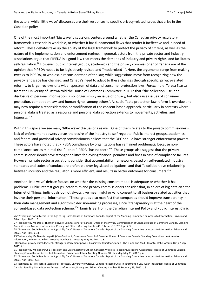the actors, while 'little wave' discourses are their responses to specific privacy-related issues that arise in the Canadian polity.

One of the most important 'big wave' discussions centers around whether the Canadian privacy regulatory framework is essentially workable, or whether it has fundamental flaws that render it ineffective and in need of reform. These debates take up the ability of the legal framework to protect the privacy of citizens, as well as the nature of the implementation and enforcement regime. In general, actors from the private sector and industry associations argue that PIPEDA is a good law that meets the demands of industry and privacy rights, and facilitates self-regulation.<sup>[26](#page-12-0)</sup> However, public interest groups, academics and the privacy commissioner of Canada are of the opinion that PIPEDA needs to be legislatively revised and "modernized<sup>[27](#page-12-1)</sup>". Here, the arguments range from making tweaks to PIPEDA, to wholesale reconsideration of the law, while suggestions move from recognizing how the privacy landscape has changed, and Canada's need to adapt to these changes through specific, privacy-related reforms, to larger reviews of a wider spectrum of data and consumer protection laws. Forexample, Teresa Scassa from the University of Ottawa told the House of Commons Committee in 2012 that "the collection, use, and disclosure of personal information is no longer simply an issue of privacy, but also raises issues of consumer protection, competition law, and human rights, among others". As such, "data protection law reform is overdue and may now require a reconsideration or modification of the consent-based approach, particularly in contexts where personal data is treated as a resource and personal data collection extends to movements, activities, and interests.<sup>[28](#page-12-2)</sup>"

Within this space we see many 'little wave' discussions as well. One of them relates to the privacy commissioner's lack of enforcement powers versus the desire of the industry to self-regulate. Public interest groups, academics, and federal and provincial privacy commissioners believe that the OPC should have stronger enforcement powers. These actors have noted that PIPEDA compliance by organizations has remained problematic because non-compliance carries minimal risk<sup>[29](#page-12-3)</sup> – that PIPEDA "has no teeth."<sup>[30](#page-12-4)</sup> These groups also suggest that the privacy commissioner should have stronger abilities for levying financial penalties and fines in case of compliance failures. However, private sector associations consider that accountability frameworks based on self-regulated industry standards and codes of conduct are preferable over legislated obligations, and that "a collaborative relationship between industry and the regulator is more efficient, and results in better outcomes for consumers.<sup>[31](#page-12-5)</sup>"

Another 'little wave' debate focuses on whether the existing consent model is adequate or whether it has problems. Public interest groups, academics and privacy commissioners consider that, in an era of big data and the Internet of Things, individuals do not always give meaningful or valid consent to all business-related activities that involve their personal information.<sup>[32](#page-12-6)</sup> These groups also manifest that companies should improve transparency in their data management and algorithmic decision-making processes, since "transparency is at the heart of the consent-based data protection scheme.<sup>[33](#page-12-7)</sup> Tamir Israel from the Canadian Internet Policy and Public Interest Clinic

<span id="page-12-0"></span><sup>26 &</sup>quot;Privacy and Social Media in the Age of Big Data". House of Commons Canada. Report of the Standing Committee on Access to Information, Privacy and Ethics. April 2013. p.31.

<span id="page-12-1"></span><sup>27</sup> Testimony by Mr. Daniel Therrien (Privacy Commissioner of Canada, Office of the Privacy Commissioner of Canada) House of Commons Canada. Standing Committee on Access to Information, Privacy and Ethics. Meeting Number 46. February 16, 2017. pp.2-3.

<span id="page-12-2"></span><sup>28 &</sup>quot;Privacy and Social Media in the Age of Big Data". House of Commons Canada. Report of the Standing Committee on Access to Information, Privacy and Ethics. April 2013 p.33.

<span id="page-12-3"></span><sup>29</sup> Testimony by Mr. Dennis Hogarth (Vice-President, Consumers Council of Canada). House of Commons Canada. Standing Committee on Access to Information, Privacy and Ethics. Meeting Number 61. Tuesday, May 16, 2017. p.3.

<span id="page-12-4"></span><sup>30</sup> Canada's privacy watchdog seeks stronger enforcement powers Krashinsky Robertson, Susan . The Globe and Mail ; Toronto, Ont. [Toronto, Ont]22 Sep 2017: A.1.

<span id="page-12-5"></span><sup>31</sup> Testimony by Mr. Robert Ghiz (President and Chief Executive Officer, Canadian Wireless Telecommunications Association). House of Commons Canada. Standing Committee on Access to Information, Privacy and Ethics. Meeting Number 60. Thursday, May 11, 2017. p.4.

<span id="page-12-6"></span><sup>32 &</sup>quot;Privacy and Social Media in the Age of Big Data". House of Commons Canada. Report of the Standing Committee on Access to Information, Privacy and Ethics. April 2013. p.31.

<span id="page-12-7"></span><sup>33</sup> Testimony by Prof. Teresa Scassa (Full Professor, University of Ottawa, Canada Research Chair in Information Law, As an Individual). House of Commons Canada. Standing Committee on Access to Information, Privacy and Ethics. Meeting Number 49 February 23, 2017. p.3.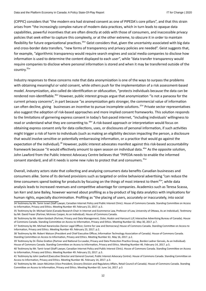(CIPPIC) considers that "the modern era had strained consent as one of PIPEDA's core pillars", and that this strain arises from "the increasingly complex nature of modern data practices, which in turn leads to opaque data capabilities, powerful incentives that are often directly at odds with those of consumers, and inaccessible privacy policies that seek either to capture this complexity, or at the other extreme, to obscure it in order to maintain flexibility for future organizational practices.<sup>[34](#page-13-0)</sup> Geist considers that, given the uncertainty associated with big data and cross-border data transfers, "new forms of transparency and privacy policies are needed". Geist suggests that, for example, "algorithmic transparency would require search engines and social media companies to disclose how information is used to determine the content displayed to each user", while "data transfer transparency would require companies to disclose where personal information is stored and when it may be transferred outside of the country.<sup>[35](#page-13-1)</sup>"

Industry responses to these concerns note that data anonymization is one of the ways to surpass the problems with obtaining meaningful or valid consent, while others push for the implementation of a risk assessment-based model. Anonymization, also called de-identification or obfuscation, "protects individuals because the data can be rendered non-identifiable.<sup>[36](#page-13-2)</sup>" However, public interest groups argue that anonymization "is not a panacea for the current privacy concerns", in part because "as anonymization gets stronger, the commercial value of information can often decline, giving businesses an incentive to pursue incomplete solutions.<sup>[37](#page-13-3)</sup>" Private sector representatives also suggest the adoption of risk-based approaches and more implied consent frameworks. This solution responds to the limitations of garnering express consent in today's fast-paced internet, "including individuals' willingness to read or understand what they are consenting to.<sup>[38](#page-13-4)</sup> A risk-based approach or interpretation would focus on obtaining express consent only for data collections, uses, or disclosures of personal information, if such activities might trigger a risk of harm to individuals (such as making an eligibility decision impacting the person, a disclosure that would involve sensitive or potentially embarrassing information, or a practice that would go against the expectation of the individual).<sup>[39](#page-13-5)</sup> However, public interest advocates manifest against this risk-based accountability framework because "it would effectively amount to open season on individual data.<sup>[40](#page-13-6)"</sup> As the opposite solution, John Lawford from the Public Interest Advocacy Centre believes that "PIPEDA needs to enable the informed consent standard, and all it needs is some new rules to protect that and consumers.  $41''$  $41''$ 

Overall, industry actors state that collecting and analyzing consumers data benefits Canadian businesses and consumers alike. Some of its derived provisions such as targeted or online behavioral advertising "can reduce the time consumers spend looking for products by focusing on the things of most interest to them<sup>[42](#page-13-8)</sup>", while data analysis leads to increased revenues and competitive advantage for companies. Academics such as Teresa Scassa, Ian Kerr and Jane Bailey, however warned about profiling as a by-product of big data analytics with implications for human rights, especially discrimination. Profiling as "the placing of users, accurately or inaccurately, into social

<span id="page-13-0"></span><sup>34</sup> Testimony by Mr. Tamir Israel (Staff Lawyer, Canadian Internet Policy and Public Interest Clinic). House of Commons Canada. Standing Committee on Access to Information, Privacy and Ethics. Meeting Number 49. February 23, 2017. p.3.

<span id="page-13-1"></span><sup>35</sup> Testimony by Dr. Michael Geist (Canada Research Chair in Internet and Ecommerce Law, Professor of Law, University of Ottawa, As an Individual). Testimony by Mr. David Fraser (Partner, McInnes Cooper, As an Individual). House of Commons Canada.

<span id="page-13-2"></span><sup>36</sup> Testimony by Mr. Adam Kardash (Partner, Privacy and Data Management, Osler, Hoskin and Harcourt LLP, Interactive Advertising Bureau of Canada). House of Commons Canada. Standing Committee on Access to Information, Privacy and Ethics. Meeting Number 62. May 30, 2017. p.7.

<span id="page-13-3"></span><sup>37</sup> Testimony by Mr. Michael Karanicolas (Senior Legal Officer, Centre for Law and Democracy) House of Commons Canada. Standing Committee on Access to Information, Privacy and Ethics. Meeting Number 49. February 23, 2017. p.2.

<span id="page-13-4"></span><sup>38</sup> Testimony by Mr. Robert Watson (President and Chief Executive Officer, Information Technology Association of Canada). House of Commons Canada. Standing Committee on Access to Information, Privacy and Ethics. Meeting Number 61. May 16, 2017. p.2.

<span id="page-13-5"></span><sup>39</sup> Testimony by Dr. Éloïse Gratton (Partner and National Co-Leader, Privacy and Data Protection Practice Group, Borden Ladner Gervais, As an Individual). House of Commons Canada. Standing Committee on Access to Information, Privacy and Ethics. Meeting Number 46. February 14, 2017. p.5.

<span id="page-13-6"></span><sup>40</sup> Testimony by Mr. Tamir Israel (Staff Lawyer, Canadian Internet Policy and Public Interest Clinic). House of Commons Canada. Standing Committee on Access to Information, Privacy and Ethics. Meeting Number 49. February 23, 2017. p.3.

<span id="page-13-7"></span><sup>41</sup> Testimony by John Lawford (Executive Director and General Counsel, Public Interest Advocacy Centre). House of Commons Canada. Standing Committee on Access to Information, Privacy and Ethics. Meeting Number 46. February 14, 2017. p.3.

<span id="page-13-8"></span><sup>42</sup> Testimony by Mr. Jason McLinton (Vice-President, Grocery Division and Regulatory Affairs, Retail Council of Canada). House of Commons Canada. Standing Committee on Access to Information, Privacy and Ethics. Meeting Number 63. June 1st, 2017. p.5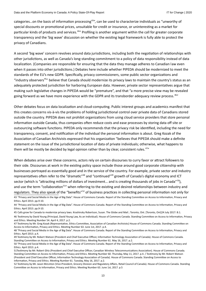categories...on the basis of information processing<sup>[43](#page-14-0)</sup>", can be used to characterize individuals as "unworthy of special discounts or promotional prices, unsuitable for credit or insurance, or uninteresting as a market for particular kinds of products and services.<sup>[44](#page-14-1)</sup> Profiling is another argument within the call for greater corporate transparency and the 'big wave' discussion on whether the existing legal framework is fully able to protect the privacy of Canadians.

A second 'big wave' concern revolves around data jurisdictions, including both the negotiation of relationships with other jurisdictions, as well as Canada's long-standing commitment to a policy of data responsibility instead of data localization. (Companies are responsible for ensuring that the data they manage adheres to Canadian law even when it passes into other jurisdictions.) Debates here include whether PIPEDA should be modernized to meet the standards of the EU's new GDPR. Specifically, privacy commissioners, some public sector organizations and "industry observers<sup>[45](#page-14-2)</sup>" believe that Canada should modernize its privacy laws to maintain the country's status as an adequately protected jurisdiction for harboring European data. However, private sector representatives argue that making such legislative changes in PIPEDA would be "premature", and that "a more precise view may be revealed going forward as we have more experience with the GDPR and its transborder adequacy review process.<sup>[46](#page-14-3)</sup>"

Other debates focus on data localization and cloud-computing. Public interest groups and academics manifest that this creates concerns vis-à-vis the problems of holding jurisdictional control over private data of Canadians stored outside the country. PIPEDA does not prohibit organizations from using cloud service providers that store personal information outside Canada, thus companies often reduce costs and ease processes by storing data off site or outsourcing software functions. PIPEDA only recommends that the privacy risk be identified, including the need for transparency, consent, and notification of the individual the personal information is about. Greg Kozak of the Association of Canadian Archivists expressed that his organization "believes that PIPEDA should make a definite statement on the issue of the jurisdictional location of data of private individuals; otherwise, what happens to them will be mostly be decided by legal opinion rather than by clear, consistent rules.<sup>[47](#page-14-4)</sup>"

When debates arise over these concerns, actors rely on certain discourses to curry favor or attract followers to their side. Discourses at work in the existing policy space include those around good corporate citizenship with businesses portrayed as essentially good and in the service of the country. For example, private sector and industry representatives often refer to the "dramatic"[48](#page-14-5) and "continued"[49](#page-14-6) growth of Canada's digital economy and ICT sector (which is "attracting millions of dollars of investment... and is creating thousands of jobs in Canada" $^{50}$  $^{50}$  $^{50}$ ), and use the term "collaboration<sup>[51](#page-14-8)</sup>" when referring to the existing and desired relationships between industry and regulators. They also speak of the "benefits"<sup>[52](#page-14-9)</sup> of business practices in collecting personal information not only for

<span id="page-14-0"></span><sup>43</sup> "Privacy and Social Media in the Age of Big Data". House of Commons Canada. Report of the Standing Committee on Access to Information, Privacy and Ethics. April 2013. pp.9-10.

<span id="page-14-1"></span><sup>44</sup> "Privacy and Social Media in the Age of Big Data". House of Commons Canada. Report of the Standing Committee on Access to Information, Privacy and Ethics. April 2013. pp.9-10.

<span id="page-14-2"></span><sup>45</sup> Calls grow for Canada to modernize privacy laws. Krashinsky Robertson, Susan. The Globe and Mail ; Toronto, Ont. [Toronto, Ont]24 July 2017: B.1.

<span id="page-14-3"></span><sup>46</sup> Testimony by David Young (Principal, David Young Law, As an Individual). House of Commons Canada. Standing Committee on Access to Information, Privacy and Ethics. Meeting Number 54. April 4, 2017. p.2.

<span id="page-14-4"></span><sup>47</sup> Testimony by Mr. Greg Kozak (Representative, Ethics Committee, Association of Canadian Archivists) House of Commons Canada. Standing Committee on Access to Information, Privacy and Ethics. Meeting Number 63. June 1st, 2017. p.4.

<span id="page-14-5"></span><sup>48 &</sup>quot;Privacy and Social Media in the Age of Big Data". House of Commons Canada. Report of the Standing Committee on Access to Information, Privacy and Ethics. April 2013. p.4.

<span id="page-14-6"></span><sup>49</sup> Testimony by Mr. Robert Watson (President and Chief Executive Officer, Information Technology Association of Canada). House of Commons Canada. Standing Committee on Access to Information, Privacy and Ethics. Meeting Number 61. May 16, 2017. p.2.

<span id="page-14-7"></span><sup>50 &</sup>quot;Privacy and Social Media in the Age of Big Data". House of Commons Canada. Report of the Standing Committee on Access to Information, Privacy and Ethics. April 2013. p.4.

<span id="page-14-8"></span><sup>51</sup>Testimony by Mr. Robert Ghiz (President and Chief Executive Officer, Canadian Wireless Telecommunications Association). House of Commons Canada. Standing Committee on Access to Information, Privacy and Ethics. Meeting Number 60. Thursday, May 11, 2017. p.4. / Testimony by Mr. Robert Watson (President and Chief Executive Officer, Information Technology Association of Canada). House of Commons Canada. Standing Committee on Access to Information, Privacy and Ethics. Meeting Number 61. Tuesday, May 16, 2017. p.2.

<span id="page-14-9"></span><sup>52</sup> Testimony by Mr. Jason McLinton (Vice-President, Grocery Division and Regulatory Affairs, Retail Council of Canada). House of Commons Canada. Standing Committee on Access to Information, Privacy and Ethics. Meeting Number 63. June 1st, 2017. p.5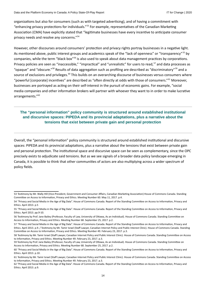organizations but also for consumers (such as with targeted advertising), and of having a commitment with "enhancing privacy protections for individuals."<sup>[53](#page-15-0)</sup> For example, representatives of the Canadian Marketing Association (CMA) have explicitly stated that "legitimate businesses have every incentive to anticipate consumer privacy needs and resolve any concerns."[54](#page-15-1)

However, other discourses around consumers' protection and privacy rights portray businesses in a negative light. As mentioned above, public interest groups and academics speak of the "lack of openness" or "transparency"<sup>[55](#page-15-2)</sup> by companies, while the term "black box"[56](#page-15-3) is also used to speak about data management practices by corporations. Privacy policies are seen as "inaccessible," "impractical" and "unrealistic" for users to read,<sup>[57](#page-15-4)</sup> and data processes as "opaque" and "obscure."[58](#page-15-5) Results of data aggregation such as profiling are described as "discriminatory"[59](#page-15-6) and a source of exclusions and privileges.<sup>[60](#page-15-7)</sup> This builds on an overarching discourse of businesses versus consumers where "powerful [corporate] incentives" are described as "often directly at odds with those of consumers."[61](#page-15-8) Moreover, businesses are portrayed as acting on their self-interest in the pursuit of economic gains. For example, "social media companies and other information brokers will partner with whoever they want to in order to make lucrative arrangements."[62](#page-15-9)

#### **The "personal information" policy community is structured around established institutional and discursive spaces: PIPEDA and its provincial adaptations, plus a narrative about the tensions that exist between private gain and personal protection**

Overall, the "personal information" policy community is structured around established institutional and discursive spaces: PIPEDA and its provincial adaptations, plus a narrative about the tensions that exist between private gain and personal protection. The institutional space and discursive space can be seen as complementary, since the OPC precisely exists to adjudicate said tensions. But as we see signals of a broader data policy landscape emerging in Canada, it is possible to think that other communities of actors are also multiplying across a wider spectrum of policy fields.

<span id="page-15-5"></span>58 Testimony by Mr. Tamir Israel (Staff Lawyer, Canadian Internet Policy and Public Interest Clinic). House of Commons Canada. Standing Committee on Access to Information, Privacy and Ethics. Meeting Number 49. February 23, 2017. p.3.

<span id="page-15-0"></span><sup>53</sup> Testimony by Mr. Wally Hill (Vice-President, Government and Consumer Affairs, Canadian Marketing Association) House of Commons Canada. Standing Committee on Access to Information, Privacy and Ethics. Meeting Number 60. May 11, 2017. p.4.

<span id="page-15-1"></span><sup>54</sup> "Privacy and Social Media in the Age of Big Data". House of Commons Canada. Report of the Standing Committee on Access to Information, Privacy and Ethics. April 2013. p.5

<span id="page-15-2"></span><sup>55</sup> "Privacy and Social Media in the Age of Big Data". House of Commons Canada. Report of the Standing Committee on Access to Information, Privacy and Ethics. April 2013. pp.9-10.

<span id="page-15-3"></span><sup>56</sup> Testimony by Prof. Jane Bailey (Professor, Faculty of Law, University of Ottawa, As an Individual). House of Commons Canada. Standing Committee on Access to Information, Privacy and Ethics. Meeting Number 68. September 25, 2017. p.2.

<span id="page-15-4"></span><sup>57</sup> "Privacy and Social Media in the Age of Big Data". House of Commons Canada. Report of the Standing Committee on Access to Information, Privacy and Ethics. April 2013. p.9. / Testimony by Mr. Tamir Israel (Staff Lawyer, Canadian Internet Policy and Public Interest Clinic). House of Commons Canada. Standing Committee on Access to Information, Privacy and Ethics. Meeting Number 49. February 23, 2017. p.3.

<span id="page-15-6"></span><sup>59</sup> Testimony by Prof. Jane Bailey (Professor, Faculty of Law, University of Ottawa, As an Individual). House of Commons Canada. Standing Committee on Access to Information, Privacy and Ethics. Meeting Number 68. September 25, 2017. p.2.

<span id="page-15-7"></span><sup>60</sup> "Privacy and Social Media in the Age of Big Data". House of Commons Canada. Report of the Standing Committee on Access to Information, Privacy and Ethics. April 2013. p.10.

<span id="page-15-8"></span><sup>61</sup> Testimony by Mr. Tamir Israel (Staff Lawyer, Canadian Internet Policy and Public Interest Clinic). House of Commons Canada. Standing Committee on Access to Information, Privacy and Ethics. Meeting Number 49. February 23, 2017. p.3.

<span id="page-15-9"></span><sup>62 &</sup>quot;Privacy and Social Media in the Age of Big Data". House of Commons Canada. Report of the Standing Committee on Access to Information, Privacy and Ethics. April 2013. p.9.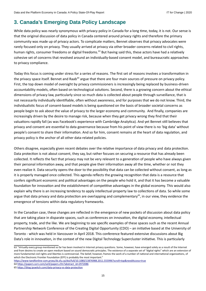# **3. Canada's Emerging Data Policy Landscape**

While data policy was nearly synonymous with privacy policy in Canada for a long time, today, it is not. Our sense is that the original discussion of data policy in Canada centered around privacy rights and therefore the primary community was made up of privacy actors. To complicate matters, Bennet observes that privacy advocates were rarely focused only on privacy. They usually arrived at privacy via other broader concerns related to civil rights, human rights, consumer freedoms or digital freedoms.<sup>[63](#page-16-0)</sup> But having said this, these actors have had a relatively cohesive set of concerns that revolved around an individually-based consent model, and bureaucratic approaches to privacy compliance.

Today this focus is coming under stress for a series of reasons. The first set of reasons involves a transformation in the privacy space itself. Bennet and Raab<sup>[64](#page-16-1)</sup> argue that there are four main sources of pressure on privacy policy. First, the top down model of oversight by privacy commissioners is increasingly being replaced by business-driven accountability models, often based on technological solutions. Second, there is a growing concern about the ethical dimensions of privacy law, particularly since so much data is collected about people through surveillance, that is not necessarily individually identifiable, often without awareness, and for purposes that we do not know. Third, the individualistic focus of consent-based models is being questioned on the basis of broader societal concerns as people begin to ask about the value of privacy to the larger economy and community. And finally, companies are increasingly driven by the desire to manage risk, because when they get privacy wrong they find that their valuations rapidly fall (as was Facebook's experience with Cambridge Analytica). And yet Bennet still believes that privacy and consent are essential to data governance because from his point of view there is no 'big data' without people's consent to share their information. And so for him, consent remains at the heart of data regulation, and privacy policy is the anchor of all other data-related policies.

Others disagree, especially given recent debates over the relative importance of data privacy and data protection. Data protection is not about consent, they say, but rather focuses on securing a resource that has already been collected. It reflects the fact that privacy may not be very relevant to a generation of people who have always given their personal information away, and that people give their information away all the time, whether or not they even realize it. Data security opens the door to the possibility that data can be collected without consent, as long as it is properly managed once collected. This agenda reflects the growing recognition that data is a resource that confers significant economic and political advantages on the people who hold it, and that it has become a valuable foundation for innovation and the establishment of competitive advantages in the global economy. This would also explain why there is an increasing tendency to apply intellectual property law to collections of data. So while some argue that data privacy and data protection are overlapping and complementary<sup>[65](#page-16-2)</sup>, in our view, they evidence the emergence of tensions within data regulatory frameworks.

In the Canadian case, these changes are reflected in the emergence of new pockets of discussion about data policy that are taking place in disparate spaces, such as conferences on innovation, the digital economy, intellectual property, trade, and the like. We are beginning to see specific examples of these spaces such as the recent Annual Partnership Network Conference of the Creating Digital Opportunity (CDO) – an initiative based at the University of Toronto - which was held in Vancouver in April 2018. This conference featured extensive discussions about Big Data's role in innovation, in the context of the new Digital Technology Supercluster initiative. This is particularly

<span id="page-16-0"></span><sup>63 &</sup>quot;Virtually every group mentioned so far has been involved in Internet privacy questions. Some, however, have emerged solely as a result of the Internet and from desires to create an open medium based on sound democratic principles. The existence of a separate set of "digital rights" which are an extension of more fundamental civil rights and liberties is controversial. The belief, however, frames the work of a number of national and international organizations, of which the Electronic Frontier Foundation (EFF) is probably the most important."

<span id="page-16-1"></span><https://www-tandfonline-com.proxy.lib.sfu.ca/doi/full/10.1080/13876988.2011.555996?scroll=top&needAccess=true> 64 [https://papers.ssrn.com/sol3/papers.cfm?abstract\\_id=2972086](https://papers.ssrn.com/sol3/papers.cfm?abstract_id=2972086)

<span id="page-16-2"></span><sup>65</sup> <https://blog.ipswitch.com/data-privacy-vs-data-protection>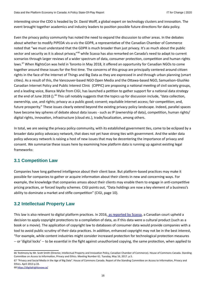interesting since the CDO is headed by Dr. David Wolff, a global expert on technology clusters and innovation. The event brought together academics and industry leaders to position possible future directions for data policy.

Even the privacy policy community has noted the need to expand the discussion to other areas. In the debates about whether to modify PIPEDA vis-a-vis the GDPR, a representative of the Canadian Chamber of Commerce noted that "we must understand that the GDPR is much broader than just privacy. It's as much about the public sector and security as it is about privacy,"<sup>[66](#page-17-0)</sup> while Scassa has also remarked on Canada's need to adapt to current scenarios through larger reviews of a wider spectrum of data, consumer protection, competition and human rights laws.<sup>[67](#page-17-1)</sup> When RightsCon was held in Toronto in May 2018, it offered an opportunity for Canadian NGOs to come together around these issues for the first time. The concerns of this group are principally centered around citizen rights in the face of the Internet of Things and Big Data as they are expressed in and through urban planning (smart cities). As a result of this, the Vancouver-based NGO Open Media and the Ottawa-based NGO, Samuelson-Glushko Canadian Internet Policy and Public Interest Clinic (CIPPIC) are proposing a national meeting of civil society groups, and a leading voice, Bianca Wylie from CIGI, has launched a petition to gather support for a national data strategy at the end of June 2018 ().<sup>[68](#page-17-2)</sup> This call notably suggests that the topics up for discussion include, "data collection, ownership, use, and rights; privacy as a public good; consent; equitable internet access; fair competition; and, future prosperity." These issues clearly extend beyond the existing privacy policy landscape. Indeed, parallel spaces have become key spheres of debate about data issues - such as IP (ownership of data), competition, human rights/ digital rights, innovation, infrastructure (cloud etc.), trade/localization, among others.

In total, we are seeing the privacy policy community, with its established government ties, come to be eclipsed by a broader data policy advocacy network, that does not yet have strong ties with government. And the wider data policy advocacy network is raising a host of new issues that may be decentering the importance of privacy and consent. We summarize these issues here by examining how platform data is running up against existing legal frameworks:

### **3.1 Competition Law**

Companies have long gathered intelligence about their client base. But platform-based practices may make it possible for companies to gather or acquire information about their clients in new and concerning ways. For example, the knowledge that companies amass about their clients may enable them to engage in anti-competitive pricing practices, or forced loyalty schemes. CIGI points out, "Data holdings are now a key element of a business's ability to dominate a market and stifle competition" (CIGI, page 10).

## **3.2 Intellectual Property Law**

This law is also relevant to digital platform practices. In 2016[, as reported by Scassa,](http://www.teresascassa.ca/index.php?option=com_k2&view=item&id=214:court-decision-finds-copyright-in-compilation-of-seismic-data) a Canadian court upheld a decision to apply copyright protections to a compilation of data, as if this data were a cultural product (such as a book or a movie). The application of copyright law to databases of consumer data would provide companies with a tool to avoid public scrutiny of their data practices. In addition, enhanced copyright may not be in the best interest, "For example, while content industries might consider increased protection for technological protection measures -- or 'digital locks' -- to be essential in the fight against unauthorized copying, the same protection, when applied to

<span id="page-17-0"></span><sup>66</sup> Testimony by Mr. Scott Smith (Director, Intellectual Property and Innovation Policy, Canadian Chamber of Commerce). House of Commons Canada. Standing Committee on Access to Information, Privacy and Ethics. Meeting Number 61. Tuesday, May 16, 2017. p.5.

<span id="page-17-1"></span><sup>67</sup> "Privacy and Social Media in the Age of Big Data". House of Commons Canada. Report of the Standing Committee on Access to Information, Privacy and Ethics. April 2013 p.33.

<span id="page-17-2"></span><sup>68</sup> <https://digitalrightsnow.ca/>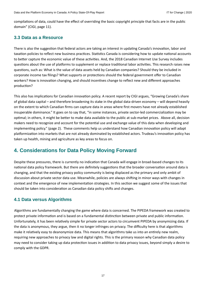compilations of data, could have the effect of overriding the basic copyright principle that facts are in the public domain" (CIGI, page 11).

### **3.3 Data as a Resource**

There is also the suggestion that federal actors are taking an interest in updating Canada's innovation, labor and taxation policies to reflect new business practices. Statistics Canada is considering how to update national accounts to better capture the economic value of these activities. And, the 2018 Canadian Internet Use Survey includes questions about the use of platforms to supplement or replace traditional labor activities. This research raises new questions, such as: What is the value of data assets held by Canadian companies? Should they be included in corporate income tax filings? What supports or protections should the federal government offer to Canadian workers? How is innovation changing, and should incentives change to reflect new and different approaches production?

This also has implications for Canadian innovation policy. A recent report by CIGI argues, "Growing Canada's share of global data capital – and therefore broadening its stake in the global data-driven economy – will depend heavily on the extent to which Canadian firms can capture data in areas where first movers have not already established insuperable dominance." It goes on to say that, "in some instances, private sector-led commercialization may be optimal; in others, it might be better to make data available to the public at sub-market prices. Above all, decision makers need to recognize and account for the potential use and exchange value of this data when developing and implementing policy." (page 2). These comments help us understand how Canadian innovation policy will adapt platformization into markets that are not already dominated by established actors. Trudeau's innovation policy has taken up health, mining and agriculture as key areas to focus on.

## **4. Considerations for Data Policy Moving Forward**

Despite these pressures, there is currently no indication that Canada will engage in broad-based changes to its national data policy framework. But there are definitely suggestions that the broader conversation around data is changing, and that the existing privacy policy community is being displaced as the primary and only ambit of discussion about private sector data use. Meanwhile, policies are always shifting in minor ways with changes in context and the emergence of new implementation strategies. In this section we suggest some of the issues that should be taken into consideration as Canadian data policy shifts and changes.

### **4.1 Data versus Algorithms**

 Algorithms are fundamentally changing the game where data is concerned. The PIPEDA framework was created to protect private information and is based on a fundamental distinction between private and public information. Unfortunately, it has been relatively simple for private sector actors to circumvent PIPEDA by anonymizing data. If the data is anonymous, they argue, then it no longer infringes on privacy. The difficulty here is that algorithms make it relatively easy to deanonymize data. This means that algorithms take us into an entirely new realm, requiring new approaches to privacy law and digital rights. This is the primary reason why Canadian data policy may need to consider taking up data protection issues in addition to data privacy issues, beyond simply a desire to comply with the GDPR.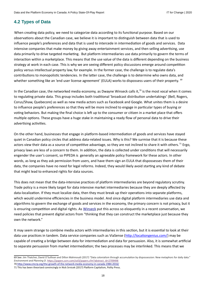## **4.2 Types of Data**

 When creating data policy, we need to categorize data according to its functional purpose. Based on our observations about the Canadian case, we believe it is important to distinguish between data that is used to influence people's preferences and data that is used to intercede in intermediation of goods and services. Data intensive companies that make money by giving away entertainment services, and then selling advertising, use data primarily to drive targeted marketing. But platform intermediaries use data primarily to govern the terms of interaction within a marketplace. This means that the use value of the data is different depending on the business strategy at work in each case. This is why we are seeing different policy discussions emerge around competition policy versus intellectual property law, for example. In the former case, the challenge is to regulate data's contributions to monopolistic tendencies. In the latter case, the challenge is to determine who owns data, and whether something like an 'end user license agreement' (EULA) works to dispossess users of their property. <sup>[69](#page-19-0)</sup>

In the Canadian case, the networked media economy, as Dwayne Winseck calls it,<sup>[70](#page-19-1)</sup> is the most vocal when it comes to regulating private data. This group includes both traditional 'broadcast distribution undertakings' (Bell, Rogers, Corus/Shaw, Quebecore) as well as new media actors such as Facebook and Google. What unites them is a desire to influence people's preferences so that they will be more inclined to engage in particular types of buying or voting behaviors. But making the final choice is left up to the consumer or citizen in a market place that offers multiple options. These groups have a huge stake in maintaining a ready flow of personal data to drive their advertising activities.

On the other hand, businesses that engage in platform-based intermediation of goods and services have stayed quiet in Canadian policy circles that address data-related issues. Why is this? We surmise that it is because these actors view their data as a source of competitive advantage, so they are not inclined to share it with others.<sup>[71](#page-19-2)</sup> Ergo, privacy laws are less of a concern to them. In addition, the data is collected under conditions that will necessarily engender the user's consent, so PIPEDA is generally an agreeable policy framework for these actors. In other words, as long as they ask permission from users, and have them sign an EULA that dispossesses them of their data, the companies have no need for legal reforms. Indeed, they would likely avoid starting any kind of debate that might lead to enhanced rights for data sources.

This does not mean that the data-intensive practices of platform intermediaries are beyond regulatory scrutiny. Trade policy is a more likely target for data intensive market intermediaries because they are deeply affected by data-localization. If they must localize data, then they must break up their operations into separate platforms, which would undermine efficiencies in the business model. And since digital platform intermediaries use data and algorithms to govern the exchange of goods and services in the economy, the primary concern is not privacy, but it is ensuring competition and digital rights. As Winseck put this across so eloquently in a recent conversation, we need policies that prevent digital actors from "thinking that they can construct the marketplace just because they own the network."

It may seem strange to combine media actors with intermediaries in this section, but it is essential to look at their data use practices in tandem. Data service companies such as ViaSense [\(http://locationgenius.com/\)](http://locationgenius.com/) may be capable of creating a bridge between data for intermediation and data for persuasion. Also, it is somewhat artificial to separate persuasion from market intermediation; the two processes may be interlinked. This means that we

<span id="page-19-0"></span><sup>69</sup> See: Jim Thatcher, David O'Sullivan and Dillon Mahmoudi (2017) "Data colonialism through accumulation by dispossession: New metaphors for daily data." *Environment and Planning D*. [https://papers.ssrn.com/sol3/papers.cfm?abstract\\_id=2709498](https://papers.ssrn.com/sol3/papers.cfm?abstract_id=2709498)

<span id="page-19-1"></span><sup>70</sup><http://www.cmcrp.org/the-growth-of-the-network-media-economy-in-canada-1984-2016/>

<span id="page-19-2"></span><sup>71</sup> This has been theorized convincingly in Nick Srnicek (2017) Platform Capitalism, Polity Press.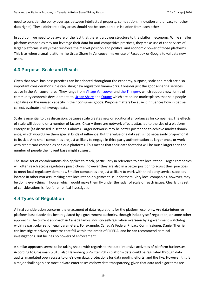need to consider the policy overlaps between intellectual property, competition, innovation and privacy (or other data rights). These different policy areas should not be considered in isolation from each other.

In addition, we need to be aware of the fact that there is a power structure to the platform economy. While smaller platform companies may not leverage their data for anti-competitive practices, they make use of the services of larger platforms in ways that reinforce the market position and political and economic power of those platforms. This is as when a small platform like UrbanShare in Vancouver makes use of Facebook or Google to validate new users.

#### **4.3 Purpose, Scale and Reach**

Given that novel business practices can be adopted throughout the economy, purpose, scale and reach are also important considerations in establishing new regulatory frameworks. Consider just the goods-sharing services active in the Vancouver area. They range from [Village Vancouver](http://www.villagevancouver.ca/) and [the Thingery,](http://thethingery.com/) which support new forms of community economic development, to [Urban Share](https://www.urbanshare.ca/) and [Quupe](https://quupe.com/) which are online marketplaces that help people capitalize on the unused capacity in their consumer goods. Purpose matters because it influences how initiatives collect, evaluate and leverage data.

Scale is essential to this discussion, because scale creates new or additional affordances for companies. The effects of scale will depend on a number of factors. Clearly there are network effects attached to the size of a platform enterprise (as discussed in section 1 above). Larger networks may be better positioned to achieve market dominance, which would give them special kinds of influence. But the value of a data set is not necessarily proportional to its size. And small companies are just as likely to engage in third party authentication as larger ones, or work with credit card companies or cloud platforms. This means that their data footprint will be much larger than the number of people their client base might suggest.

The same set of considerations also applies to reach, particularly in reference to data localization. Larger companies will often reach across regulatory jurisdictions, however they are also in a better position to adjust their practices to meet local regulatory demands. Smaller companies are just as likely to work with third party service suppliers located in other markets, making data localization a significant issue for them. Very local companies, however, may be doing everything in house, which would make them fly under the radar of scale or reach issues. Clearly this set of considerations is ripe for empirical investigation.

### **4.4 Types of Regulation**

 A final consideration concerns the enactment of data regulations for the platform economy. Are data-intensive platform-based activities best regulated by a government authority, through industry self-regulation, or some other approach? The current approach in Canada favors industry self-regulation overseen by a government watchdog within a particular set of legal parameters. For example, Canada's Federal Privacy Commissioner, Daniel Therrien, can investigate privacy concerns that fall within the ambit of PIPEDA, and he can recommend criminal investigations. But he has no powers of enforcement.

A similar approach seems to be taking shape with regards to the data-intensive activities of platform businesses. According to Grossman (2015; also Hazenberg & Zwitter 2017) platform data could be regulated through data audits, mandated open access to one's own data, protections for data pooling efforts, and the like. However, this is a major challenge since most private enterprises eschew data transparency, given that data and algorithms are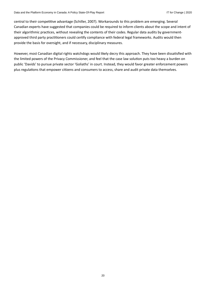central to their competitive advantage (Schiller, 2007). Workarounds to this problem are emerging. Several Canadian experts have suggested that companies could be required to inform clients about the scope and intent of their algorithmic practices, without revealing the contents of their codes. Regular data audits by governmentapproved third party practitioners could certify compliance with federal legal frameworks. Audits would then provide the basis for oversight, and if necessary, disciplinary measures.

However, most Canadian digital rights watchdogs would likely decry this approach. They have been dissatisfied with the limited powers of the Privacy Commissioner, and feel that the case law solution puts too heavy a burden on public 'Davids' to pursue private sector 'Goliaths' in court. Instead, they would favor greater enforcement powers plus regulations that empower citizens and consumers to access, share and audit private data themselves.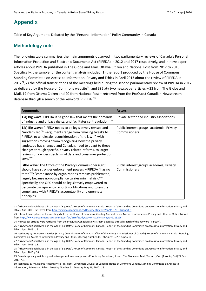# **Appendix**

Table of Key Arguments Debated by the "Personal Information" Policy Community in Canada

#### **Methodology note**

The following table summarizes the main arguments observed in two parliamentary reviews of Canada's Personal Information Protection and Electronic Documents Act (PIPEDA) in 2012 and 2017 respectively, and in newspaper articles about PIPEDA published in The Globe and Mail, Ottawa Citizen and National Post from 2012 to 2018. Specifically, the sample for the content analysis included: 1) the report produced by the House of Commons Standing Committee on Access to Information, Privacy and Ethics in April 2013 about the review of PIPEDA in 2012 $^{72}$  $^{72}$  $^{72}$ , 2) the official transcriptions of the meetings held during the second parliamentary review of PIPEDA in 2017 as delivered by the House of Commons website<sup>[73](#page-22-1)</sup>, and 3) Sixty two newspaper articles  $-$  23 from The Globe and Mail, 19 from Ottawa Citizen and 20 from National Post – retrieved from the ProQuest Canadian Newsstream database through a search of the keyword 'PIPEDA'.<sup>[74](#page-22-2)</sup>

| <b>Arguments</b>                                                                                                                                                                                                                                                                                                                                                                                                                                                                         | <b>Actors</b>                                              |
|------------------------------------------------------------------------------------------------------------------------------------------------------------------------------------------------------------------------------------------------------------------------------------------------------------------------------------------------------------------------------------------------------------------------------------------------------------------------------------------|------------------------------------------------------------|
| 1.a) Big wave: PIPEDA is "a good law that meets the demands<br>of industry and privacy rights, and facilitates self-regulation. <sup>75</sup>                                                                                                                                                                                                                                                                                                                                            | Private sector and industry associations                   |
| 1.b) Big wave: PIPEDA needs to be legislatively revised and<br>"modernized <sup>76</sup> " -arguments range from "making tweaks to<br>PIPEDA, to wholesale reconsideration of the law <sup>77</sup> ", with<br>suggestions moving "from recognizing how the privacy<br>landscape has changed and Canada's need to adapt to these<br>changes through specific, privacy-related reforms, to larger<br>reviews of a wider spectrum of data and consumer protection<br>laws. <sup>78</sup> " | Public interest groups; academia; Privacy<br>Commissioners |
| Little wave: The Office of the Privacy Commissioner (OPC)<br>should have stronger enforcement powers - PIPEDA "has no<br>teeth <sup>79</sup> "; "compliance by organizations remains problematic,<br>largely because non-compliance carries minimal risk. <sup>80"</sup><br>Specifically, the OPC should be legislatively empowered to<br>designate transparency reporting obligations and to ensure<br>compliance with PIPEDA's accountability and openness<br>principles.              | Public interest groups academia; Privacy<br>Commissioners  |

<span id="page-22-0"></span><sup>72</sup> "Privacy and Social Media in the Age of Big Data". House of Commons Canada. Report of the Standing Committee on Access to Information, Privacy and Ethics. April 2013. Retrieved from<http://www.ourcommons.ca/DocumentViewer/en/41-1/ETHI/report-5>

<span id="page-22-1"></span><sup>73</sup> Official transcriptions of the meetings held in the House of Commons Standing Committee on Access to Information, Privacy and Ethics in 2017 retrieved from<http://www.ourcommons.ca/Committees/en/ETHI/StudyActivity?studyActivityId=9213226>

<span id="page-22-2"></span><sup>74</sup> Newspaper articles were retrieved from the ProQuest Canadian Newsstream database through search of the keyword "PIPEDA".

<span id="page-22-3"></span><sup>75</sup> "Privacy and Social Media in the Age of Big Data". House of Commons Canada. Report of the Standing Committee on Access to Information, Privacy and Ethics. April 2013. p.31.

<span id="page-22-4"></span><sup>76</sup> Testimony by Mr. Daniel Therrien (Privacy Commissioner of Canada, Office of the Privacy Commissioner of Canada) House of Commons Canada. Standing Committee on Access to Information, Privacy and Ethics. Meeting Number 46. February 16, 2017. pp.2-3.

<span id="page-22-5"></span><sup>77</sup> "Privacy and Social Media in the Age of Big Data". House of Commons Canada. Report of the Standing Committee on Access to Information, Privacy and Ethics. April 2013. p.31.

<span id="page-22-6"></span><sup>78</sup> "Privacy and Social Media in the Age of Big Data". House of Commons Canada. Report of the Standing Committee on Access to Information, Privacy and Ethics. April 2013 p.33.

<span id="page-22-7"></span><sup>79</sup> Canada's privacy watchdog seeks stronger enforcement powers Krashinsky Robertson, Susan . The Globe and Mail; Toronto, Ont. [Toronto, Ont] 22 Sep 2017: A.1.

<span id="page-22-8"></span><sup>80</sup> Testimony by Mr. Dennis Hogarth (Vice-President, Consumers Council of Canada). House of Commons Canada. Standing Committee on Access to Information, Privacy and Ethics. Meeting Number 61. Tuesday, May 16, 2017. p.3.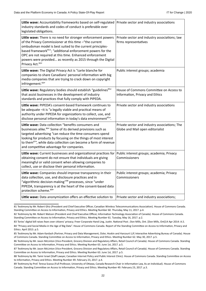| Little wave: Accountability frameworks based on self-regulated   Private sector and industry associations<br>industry standards and codes of conduct is preferable over<br>legislated obligations.                                                                                                                                                                                                                         |                                                                                   |
|----------------------------------------------------------------------------------------------------------------------------------------------------------------------------------------------------------------------------------------------------------------------------------------------------------------------------------------------------------------------------------------------------------------------------|-----------------------------------------------------------------------------------|
| Little wave: There is no need for stronger enforcement powers<br>of the Privacy Commissioner at this time -"the current<br>ombudsman model is best suited to the current principles-<br>based framework <sup>81</sup> "; "additional enforcement powers for the<br>OPC are not required at this time. Enhanced enforcement<br>powers were provided as recently as 2015 through the Digital<br>Privacy Act. <sup>82</sup> " | Private sector and industry associations; law<br>firms representatives            |
| Little wave: The Digital Privacy Act is "carte blanche for<br>companies to share Canadians' personal information with big<br>media companies that are trying to crack down on copyright<br>infringement. <sup>83</sup> "                                                                                                                                                                                                   | Public interest groups; academia                                                  |
| Little wave: Regulatory bodies should establish "guidelines <sup>84"</sup><br>that assist businesses in the development of industry<br>standards and practices that fully comply with PIPEDA.                                                                                                                                                                                                                              | House of Commons Committee on Access to<br>Information, Privacy and Ethics        |
| Little wave: PIPEDA's consent-based framework continues to<br>be adequate -it is "a legally viable and practical means of<br>authority under PIPEDA for organizations to collect, use, and<br>disclose personal information in today's data environment <sup>85</sup> ".                                                                                                                                                   | Private sector and industry associations                                          |
| Little wave: Data collection "benefits consumers and<br>businesses alike. <sup>86</sup> " Some of its derived provisions such as<br>targeted advertising "can reduce the time consumers spend<br>looking for products by focusing on the things of most interest<br>to them <sup>87</sup> ", while data collection can become a form of revenue<br>and competitive advantage for companies.                                | Private sector and industry associations; The<br>Globe and Mail open editorialist |
| Little wave: Current businesses and organizational practices for<br>obtaining consent do not ensure that individuals are giving<br>meaningful or valid consent when allowing companies to<br>collect, use or disclose their personal information.                                                                                                                                                                          | Public interest groups; academia; Privacy<br>Commissioners                        |
| Little wave: Companies should improve transparency in their<br>data collection, use, and disclosure practices and in<br>"algorithmic decision-making" <sup>88</sup> processes, since "under<br>PIPEDA, transparency is at the heart of the consent-based data<br>protection scheme. <sup>89</sup> "                                                                                                                        | Public interest groups; academia; Privacy<br>Commissioners                        |
| Little wave: Data anonymization offers an effective solution to                                                                                                                                                                                                                                                                                                                                                            | Private sector and industry associations;                                         |

<span id="page-23-0"></span><sup>81</sup> Testimony by Mr. Robert Ghiz (President and Chief Executive Officer, Canadian Wireless Telecommunications Association). House of Commons Canada. Standing Committee on Access to Information, Privacy and Ethics. Meeting Number 60. Thursday, May 11, 2017. p.4.

<span id="page-23-1"></span><sup>82</sup> Testimony by Mr. Robert Watson (President and Chief Executive Officer, Information Technology Association of Canada). House of Commons Canada. Standing Committee on Access to Information, Privacy and Ethics. Meeting Number 61. Tuesday, May 16, 2017. p.2.

<span id="page-23-2"></span><sup>83</sup> Tories' digital bill raises fears over citizens' privacy; Freer Corporate Hand Ling, Justin. National Post; Don Mills, Ont. [Don Mills, Ont]14 Apr 2014: A.5.

<span id="page-23-3"></span><sup>84</sup> "Privacy and Social Media in the Age of Big Data". House of Commons Canada. Report of the Standing Committee on Access to Information, Privacy and Ethics. April 2013. p.5.

<span id="page-23-4"></span><sup>85</sup> Testimony by Mr. Adam Kardash (Partner, Privacy and Data Management, Osler, Hoskin and Harcourt LLP, Interactive Advertising Bureau of Canada). House of Commons Canada. Standing Committee on Access to Information, Privacy and Ethics. Meeting Number 62. May 30, 2017. p.5.

<span id="page-23-5"></span><sup>86</sup> Testimony by Mr. Jason McLinton (Vice-President, Grocery Division and Regulatory Affairs, Retail Council of Canada). House of Commons Canada. Standing Committee on Access to Information, Privacy and Ethics. Meeting Number 63. June 1st, 2017. p.5.

<span id="page-23-6"></span><sup>87</sup> Testimony by Mr. Jason McLinton (Vice-President, Grocery Division and Regulatory Affairs, Retail Council of Canada). House of Commons Canada. Standing Committee on Access to Information, Privacy and Ethics. Meeting Number 63. June 1st, 2017. p.5.

<span id="page-23-7"></span><sup>88</sup> Testimony by Mr. Tamir Israel (Staff Lawyer, Canadian Internet Policy and Public Interest Clinic). House of Commons Canada. Standing Committee on Access to Information, Privacy and Ethics. Meeting Number 49. February 23, 2017. p.4.

<span id="page-23-8"></span><sup>89</sup> Testimony by Prof. Teresa Scassa (Full Professor, University of Ottawa, Canada Research Chair in Information Law, As an Individual). House of Commons Canada. Standing Committee on Access to Information, Privacy and Ethics. Meeting Number 49. February 23, 2017. p.3.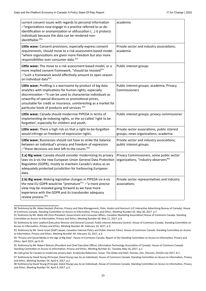| current consent issues with regards to personal information<br>-"organizations now engage in a practice referred to as de-<br>identification or anonymization or obfuscation () it protects<br>individuals because the data can be rendered non-<br>identifiable. <sup>90</sup> "                                                                                                      | academia                                                                                        |
|----------------------------------------------------------------------------------------------------------------------------------------------------------------------------------------------------------------------------------------------------------------------------------------------------------------------------------------------------------------------------------------|-------------------------------------------------------------------------------------------------|
| Little wave: Consent provisions, especially express consent<br>requirements, should move to a risk assessment-based model<br>"where organizations are given more freedom but also more<br>responsibilities over consumer data. <sup>91</sup> "                                                                                                                                         | Private sector and industry associations;<br>academia                                           |
| Little wave: The move to a risk assessment-based model, or a<br>more implied consent framework, "should be resisted <sup>92</sup> "<br>-"such a framework would effectively amount to open season<br>on individual data <sup>93</sup> ".                                                                                                                                               | Public interest groups                                                                          |
| Little wave: Profiling is a worrisome by-product of big data<br>analytics with implications for human rights, especially<br>discrimination - "it can be used to characterize individuals as<br>unworthy of special discounts or promotional prices,<br>unsuitable for credit or insurance, uninteresting as a market for<br>particular kinds of products and services. <sup>94</sup> " | Public interest groups; academia; Privacy<br>Commissioners                                      |
| Little wave: Canada should modernize PIPEDA in terms of<br>implementing de-indexing rights, or the so-called 'right to be<br>forgotten', especially for children and youth.                                                                                                                                                                                                            | Public interest groups; privacy commissioner                                                    |
| Little wave: There a high risk on that a right-to-be-forgotten<br>would infringe on freedom-of-expression rights.                                                                                                                                                                                                                                                                      | Private sector associations, public interest<br>groups; news organizations; academia            |
| Little wave: Businesses should not have to strike the balance<br>between an individual's privacy and freedom of expression<br>-"these decisions are best left to the courts. <sup>95</sup> "                                                                                                                                                                                           | Private sector and industry associations;<br>public interest groups.                            |
| 2.a) Big wave: Canada should consider modernizing its privacy<br>laws vis-à-vis the new European Union General Data Protection<br>Regulation (GDPR), mostly to maintain Canada's status as an<br>adequately protected jurisdiction for harbouring European<br>data.                                                                                                                    | Privacy Commissioners, some public sector<br>organizations, "industry observers <sup>96</sup> " |
| 2.b) Big wave: Making legislative changes in PIPEDA vis-à-vis<br>the new EU GDPR would be "premature $97$ " - "a more precise<br>view may be revealed going forward as we have more<br>experience with the GDPR and its transborder adequacy<br>review process. <sup>98</sup> "                                                                                                        | Private sector representatives and industry<br>associations                                     |

<span id="page-24-0"></span><sup>90</sup> Testimony by Mr. Adam Kardash (Partner, Privacy and Data Management, Osler, Hoskin and Harcourt LLP, Interactive Advertising Bureau of Canada). House of Commons Canada. Standing Committee on Access to Information, Privacy and Ethics. Meeting Number 62. May 30, 2017. p.7.

<span id="page-24-1"></span><sup>91</sup> Testimony by Mr. Wally Hill (Vice-President, Government and Consumer Affairs, Canadian Marketing Association) House of Commons Canada. Standing Committee on Access to Information, Privacy and Ethics. Meeting Number 60. May 11, 2017. p.4.

<span id="page-24-2"></span><sup>92</sup> Testimony by John Lawford (Executive Director and General Counsel, Public Interest Advocacy Centre). House of Commons Canada. Standing Committee on Access to Information, Privacy and Ethics. Meeting Number 46. February 14, 2017. p.3.

<span id="page-24-3"></span><sup>93</sup> Testimony by Mr. Tamir Israel (Staff Lawyer, Canadian Internet Policy and Public Interest Clinic). House of Commons Canada. Standing Committee on Access to Information, Privacy and Ethics. Meeting Number 49. February 23, 2017. p.3.

<span id="page-24-4"></span><sup>94</sup> "Privacy and Social Media in the Age of Big Data". House of Commons Canada. Report of the Standing Committee on Access to Information, Privacy and Ethics. April 2013. pp.9-10.

<span id="page-24-5"></span><sup>95</sup> Testimony by Mr. Robert Watson (President and Chief Executive Officer, Information Technology Association of Canada). House of Commons Canada. Standing Committee on Access to Information, Privacy and Ethics. Meeting Number 61. Tuesday, May 16, 2017. p.2.

<span id="page-24-6"></span><sup>96</sup> Calls grow for Canada to modernize privacy laws. Krashinsky Robertson, Susan. The Globe and Mail; Toronto, Ont. [Toronto, Ont]24 July 2017: B.1.

<span id="page-24-7"></span><sup>97</sup> Testimony by David Young (Principal, David Young Law, As an Individual). House of Commons Canada. Standing Committee on Access to Information, Privacy and Ethics. Meeting Number 54. April 4, 2017. p.2.

<span id="page-24-8"></span><sup>98</sup> Testimony by David Young (Principal, David Young Law, As an Individual). House of Commons Canada. Standing Committee on Access to Information, Privacy and Ethics. Meeting Number 54. April 4, 2017. p.2.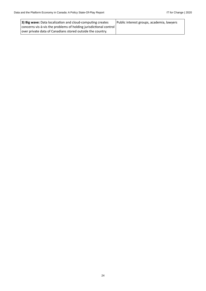| 3) Big wave: Data localization and cloud-computing creates        | Public interest groups, academia, lawyers |
|-------------------------------------------------------------------|-------------------------------------------|
| concerns vis-à-vis the problems of holding jurisdictional control |                                           |
| over private data of Canadians stored outside the country.        |                                           |